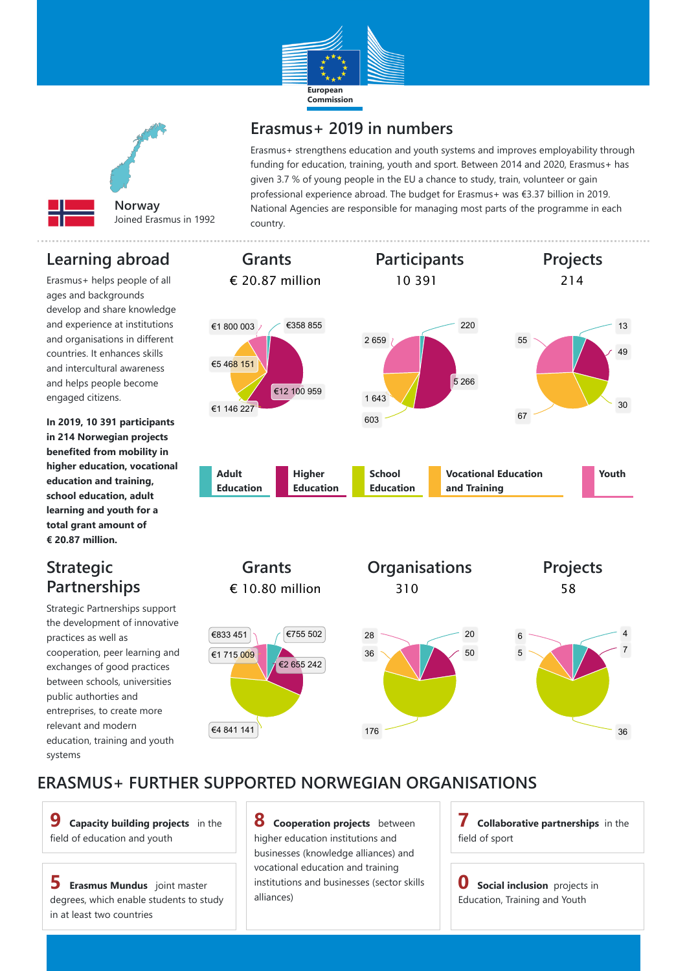#### **ERASMUS+ FURTHER SUPPORTED NORWEGIAN ORGANISATIONS**





## **Erasmus+ 2019 in numbers**

Erasmus+ strengthens education and youth systems and improves employability through funding for education, training, youth and sport. Between 2014 and 2020, Erasmus+ has given 3.7 % of young people in the EU a chance to study, train, volunteer or gain professional experience abroad. The budget for Erasmus+ was €3.37 billion in 2019. National Agencies are responsible for managing most parts of the programme in each country.

### **Learning abroad**

Erasmus+ helps people of all ages and backgrounds develop and share knowledge and experience at institutions and organisations in different countries. It enhances skills and intercultural awareness and helps people become engaged citizens.

**In 2019, 10 391 participants in 214 Norwegian projects benefited from mobility in higher education, vocational education and training, school education, adult learning and youth for a total grant amount of € 20.87 million.**

### **Strategic Partnerships**



Strategic Partnerships support the development of innovative practices as well as cooperation, peer learning and exchanges of good practices between schools, universities public authorties and entreprises, to create more relevant and modern

education, training and youth systems

**9 Capacity building projects** in the field of education and youth

**5 Erasmus Mundus** joint master degrees, which enable students to study in at least two countries

**8 Cooperation projects** between higher education institutions and businesses (knowledge alliances) and vocational education and training institutions and businesses (sector skills alliances)

**7 Collaborative partnerships** in the field of sport

**0 Social inclusion** projects in Education, Training and Youth